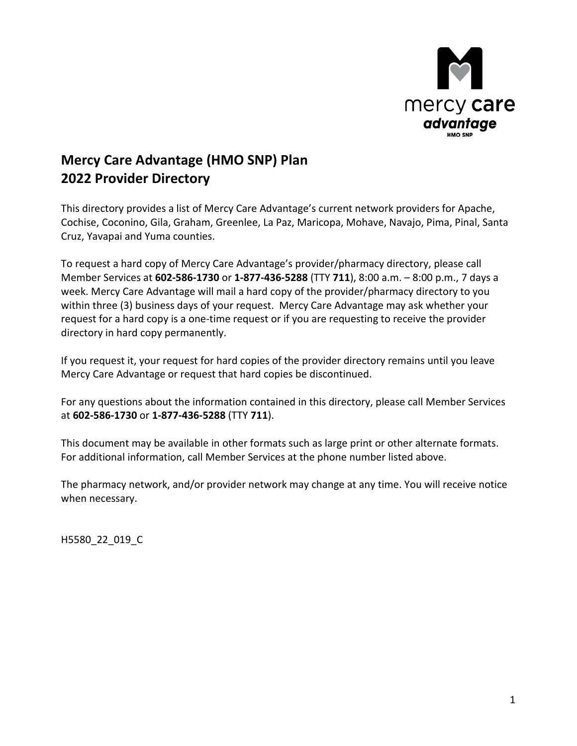

# **Mercy Care Advantage (HMO SNP) Plan 2022 Provider Directory**

 This directory provides a list of Mercy Care Advantage's current network providers for Apache, Cruz, Yavapai and Yuma counties. Cochise, Coconino, Gila, Graham, Greenlee, La Paz, Maricopa, Mohave, Navajo, Pima, Pinal, Santa

 Member Services at **602-586-1730** or **1-877-436-5288** (TTY **711**), 8:00 a.m. – 8:00 p.m., 7 days a request for a hard copy is a one-time request or if you are requesting to receive the provider To request a hard copy of Mercy Care Advantage's provider/pharmacy directory, please call week. Mercy Care Advantage will mail a hard copy of the provider/pharmacy directory to you within three (3) business days of your request. Mercy Care Advantage may ask whether your directory in hard copy permanently.

If you request it, your request for hard copies of the provider directory remains until you leave Mercy Care Advantage or request that hard copies be discontinued.

at 602-586-1730 or 1-877-436-5288 (TTY 711). For any questions about the information contained in this directory, please call Member Services

at **602-586-1730** or **1-877-436-5288** (TTY **711**).<br>This document may be available in other formats such as large print or other alternate formats. For additional information, call Member Services at the phone number listed above.

The pharmacy network, and/or provider network may change at any time. You will receive notice when necessary.

H5580\_22\_019\_C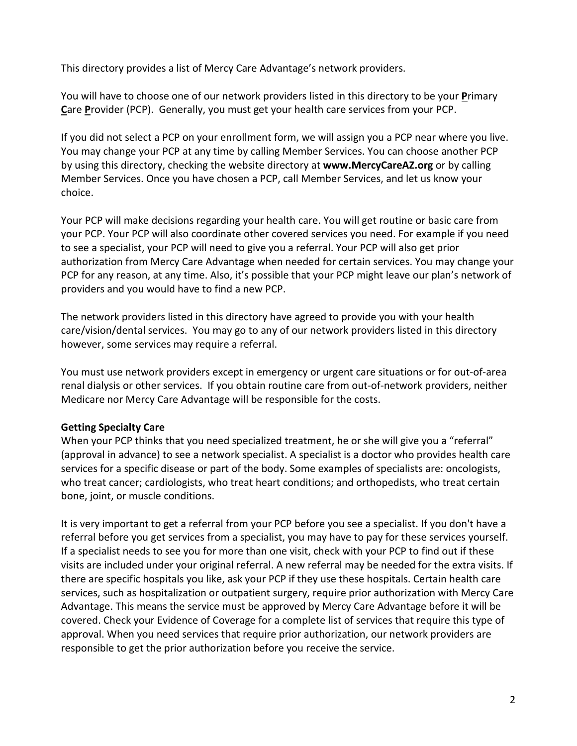This directory provides a list of Mercy Care Advantage's network providers.

You will have to choose one of our network providers listed in this directory to be your **P**rimary **C**are **P**rovider (PCP). Generally, you must get your health care services from your PCP.

If you did not select a PCP on your enrollment form, we will assign you a PCP near where you live. You may change your PCP at any time by calling Member Services. You can choose another PCP by using this directory, checking the website directory at **www.MercyCareAZ.org** or by calling Member Services. Once you have chosen a PCP, call Member Services, and let us know your choice.

 to see a specialist, your PCP will need to give you a referral. Your PCP will also get prior PCP for any reason, at any time. Also, it's possible that your PCP might leave our plan's network of Your PCP will make decisions regarding your health care. You will get routine or basic care from your PCP. Your PCP will also coordinate other covered services you need. For example if you need authorization from Mercy Care Advantage when needed for certain services. You may change your providers and you would have to find a new PCP.

 The network providers listed in this directory have agreed to provide you with your health care/vision/dental services. You may go to any of our network providers listed in this directory however, some services may require a referral.

 You must use network providers except in emergency or urgent care situations or for out-of-area renal dialysis or other services. If you obtain routine care from out-of-network providers, neither Medicare nor Mercy Care Advantage will be responsible for the costs.

#### **Getting Specialty Care**

 (approval in advance) to see a network specialist. A specialist is a doctor who provides health care When your PCP thinks that you need specialized treatment, he or she will give you a "referral" services for a specific disease or part of the body. Some examples of specialists are: oncologists, who treat cancer; cardiologists, who treat heart conditions; and orthopedists, who treat certain bone, joint, or muscle conditions.

 referral before you get services from a specialist, you may have to pay for these services yourself. visits are included under your original referral. A new referral may be needed for the extra visits. If services, such as hospitalization or outpatient surgery, require prior authorization with Mercy Care approval. When you need services that require prior authorization, our network providers are It is very important to get a referral from your PCP before you see a specialist. If you don't have a If a specialist needs to see you for more than one visit, check with your PCP to find out if these there are specific hospitals you like, ask your PCP if they use these hospitals. Certain health care Advantage. This means the service must be approved by Mercy Care Advantage before it will be covered. Check your Evidence of Coverage for a complete list of services that require this type of responsible to get the prior authorization before you receive the service.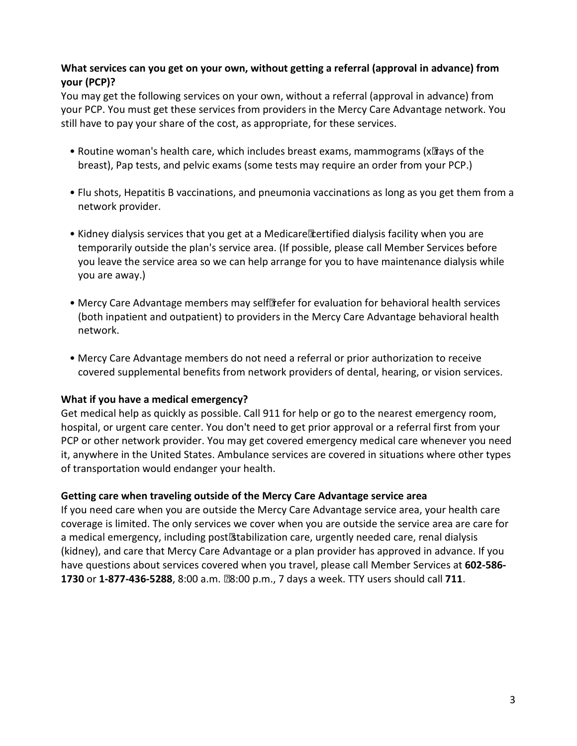#### **What services can you get on your own, without getting a referral (approval in advance) from your (PCP)?**

 You may get the following services on your own, without a referral (approval in advance) from your PCP. You must get these services from providers in the Mercy Care Advantage network. You still have to pay your share of the cost, as appropriate, for these services.

- • Routine woman's health care, which includes breast exams, mammograms (x‑rays of the breast), Pap tests, and pelvic exams (some tests may require an order from your PCP.)
- • Flu shots, Hepatitis B vaccinations, and pneumonia vaccinations as long as you get them from a network provider.
- temporarily outside the plan's service area. (If possible, please call Member Services before you leave the service area so we can help arrange for you to have maintenance dialysis while • Kidney dialysis services that you get at a Medicare‑certified dialysis facility when you are you are away.)
- Mercy Care Advantage members may self-refer for evaluation for behavioral health services (both inpatient and outpatient) to providers in the Mercy Care Advantage behavioral health network.
- • Mercy Care Advantage members do not need a referral or prior authorization to receive covered supplemental benefits from network providers of dental, hearing, or vision services.

#### **What if you have a medical emergency?**

 Get medical help as quickly as possible. Call 911 for help or go to the nearest emergency room, hospital, or urgent care center. You don't need to get prior approval or a referral first from your it, anywhere in the United States. Ambulance services are covered in situations where other types PCP or other network provider. You may get covered emergency medical care whenever you need of transportation would endanger your health.

#### **Getting care when traveling outside of the Mercy Care Advantage service area**

 coverage is limited. The only services we cover when you are outside the service area are care for (kidney), and care that Mercy Care Advantage or a plan provider has approved in advance. If you have questions about services covered when you travel, please call Member Services at **602-586 1730** or **1-877-436-5288**, 8:00 a.m. ‑ 8:00 p.m., 7 days a week. TTY users should call **711**. If you need care when you are outside the Mercy Care Advantage service area, your health care a medical emergency, including post‑stabilization care, urgently needed care, renal dialysis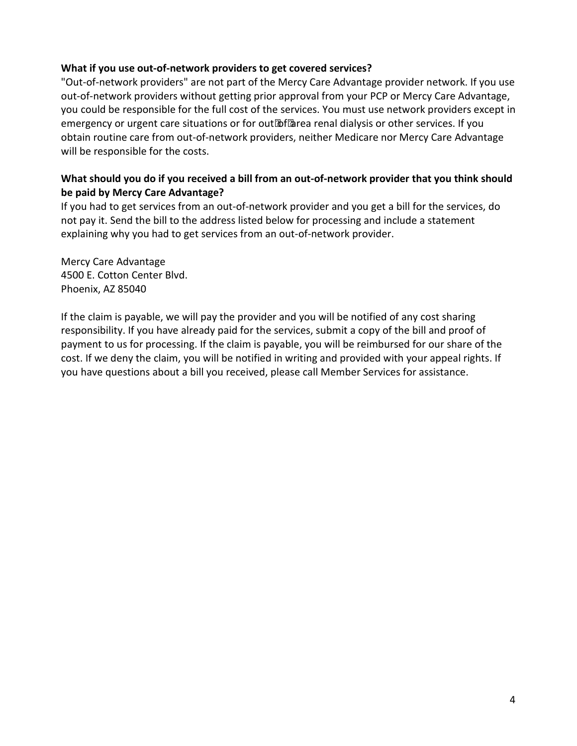#### **What if you use out-of-network providers to get covered services?**

 "Out-of-network providers" are not part of the Mercy Care Advantage provider network. If you use out-of-network providers without getting prior approval from your PCP or Mercy Care Advantage, you could be responsible for the full cost of the services. You must use network providers except in emergency or urgent care situations or for out-of-area renal dialysis or other services. If you obtain routine care from out-of-network providers, neither Medicare nor Mercy Care Advantage will be responsible for the costs.

#### **What should you do if you received a bill from an out-of-network provider that you think should be paid by Mercy Care Advantage?**

 not pay it. Send the bill to the address listed below for processing and include a statement explaining why you had to get services from an out-of-network provider. If you had to get services from an out-of-network provider and you get a bill for the services, do

Mercy Care Advantage 4500 E. Cotton Center Blvd. Phoenix, AZ 85040

 If the claim is payable, we will pay the provider and you will be notified of any cost sharing payment to us for processing. If the claim is payable, you will be reimbursed for our share of the responsibility. If you have already paid for the services, submit a copy of the bill and proof of cost. If we deny the claim, you will be notified in writing and provided with your appeal rights. If you have questions about a bill you received, please call Member Services for assistance.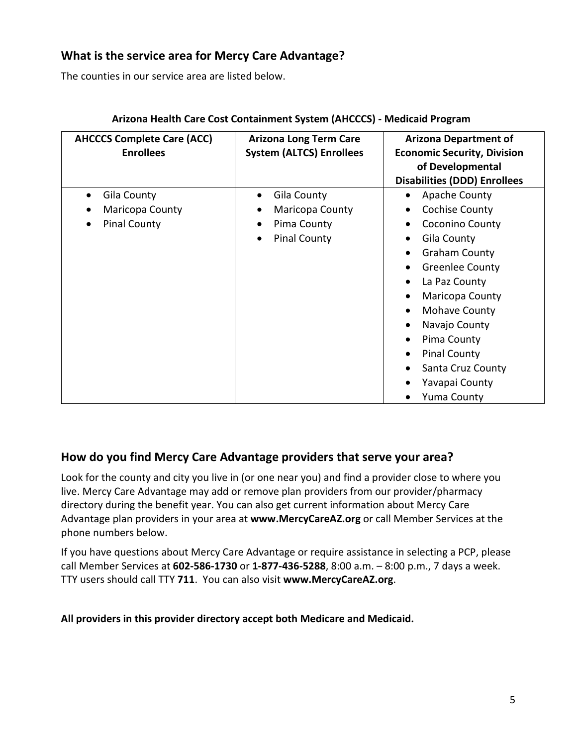## **What is the service area for Mercy Care Advantage?**

The counties in our service area are listed below.

| <b>AHCCCS Complete Care (ACC)</b><br><b>Enrollees</b> | <b>Arizona Long Term Care</b><br><b>System (ALTCS) Enrollees</b> | <b>Arizona Department of</b><br><b>Economic Security, Division</b><br>of Developmental<br><b>Disabilities (DDD) Enrollees</b> |
|-------------------------------------------------------|------------------------------------------------------------------|-------------------------------------------------------------------------------------------------------------------------------|
| Gila County<br>$\bullet$                              | Gila County<br>$\bullet$                                         | Apache County<br>$\bullet$                                                                                                    |
| Maricopa County                                       | Maricopa County                                                  | Cochise County                                                                                                                |
| <b>Pinal County</b>                                   | Pima County                                                      | Coconino County                                                                                                               |
|                                                       | <b>Pinal County</b>                                              | Gila County                                                                                                                   |
|                                                       |                                                                  | <b>Graham County</b>                                                                                                          |
|                                                       |                                                                  | <b>Greenlee County</b>                                                                                                        |
|                                                       |                                                                  | La Paz County                                                                                                                 |
|                                                       |                                                                  | Maricopa County                                                                                                               |
|                                                       |                                                                  | Mohave County                                                                                                                 |
|                                                       |                                                                  | Navajo County                                                                                                                 |
|                                                       |                                                                  | Pima County                                                                                                                   |
|                                                       |                                                                  | <b>Pinal County</b>                                                                                                           |
|                                                       |                                                                  | Santa Cruz County                                                                                                             |
|                                                       |                                                                  | Yavapai County                                                                                                                |
|                                                       |                                                                  | <b>Yuma County</b>                                                                                                            |

#### **Arizona Health Care Cost Containment System (AHCCCS) - Medicaid Program**

### **How do you find Mercy Care Advantage providers that serve your area?**

Look for the county and city you live in (or one near you) and find a provider close to where you live. Mercy Care Advantage may add or remove plan providers from our provider/pharmacy directory during the benefit year. You can also get current information about Mercy Care Advantage plan providers in your area at **www.MercyCareAZ.org** or call Member Services at the phone numbers below.

If you have questions about Mercy Care Advantage or require assistance in selecting a PCP, please call Member Services at **602-586-1730** or **1-877-436-5288**, 8:00 a.m. – 8:00 p.m., 7 days a week. TTY users should call TTY **711**. You can also visit **www.MercyCareAZ.org**.

 **All providers in this provider directory accept both Medicare and Medicaid.**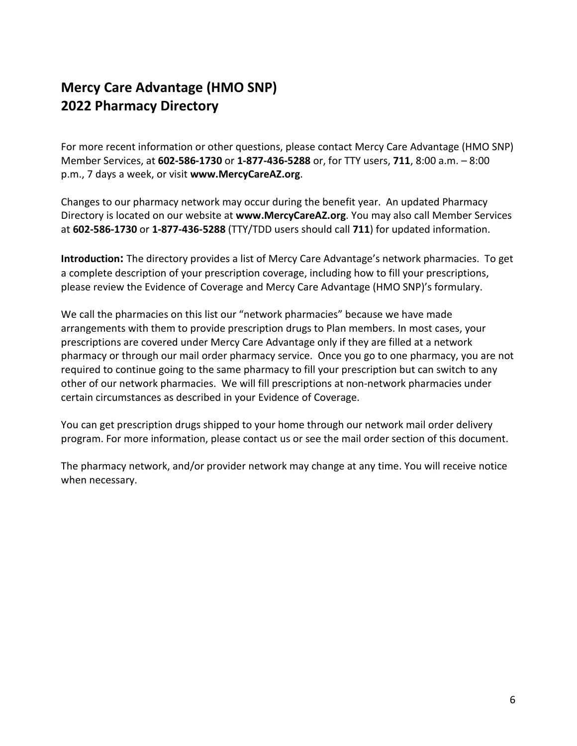# **Mercy Care Advantage (HMO SNP) 2022 Pharmacy Directory**

For more recent information or other questions, please contact Mercy Care Advantage (HMO SNP) Member Services, at **602-586-1730** or **1-877-436-5288** or, for TTY users, **711**, 8:00 a.m. – 8:00 p.m., 7 days a week, or visit **www.MercyCareAZ.org**.

Changes to our pharmacy network may occur during the benefit year. An updated Pharmacy Directory is located on our website at **www.MercyCareAZ.org**. You may also call Member Services at **602-586-1730** or **1-877-436-5288** (TTY/TDD users should call **711**) for updated information.

 **Introduction:** The directory provides a list of Mercy Care Advantage's network pharmacies. To get a complete description of your prescription coverage, including how to fill your prescriptions, please review the Evidence of Coverage and Mercy Care Advantage (HMO SNP)'s formulary.

 We call the pharmacies on this list our "network pharmacies" because we have made arrangements with them to provide prescription drugs to Plan members. In most cases, your required to continue going to the same pharmacy to fill your prescription but can switch to any certain circumstances as described in your Evidence of Coverage. prescriptions are covered under Mercy Care Advantage only if they are filled at a network pharmacy or through our mail order pharmacy service. Once you go to one pharmacy, you are not other of our network pharmacies. We will fill prescriptions at non-network pharmacies under

You can get prescription drugs shipped to your home through our network mail order delivery program. For more information, please contact us or see the mail order section of this document.

The pharmacy network, and/or provider network may change at any time. You will receive notice when necessary.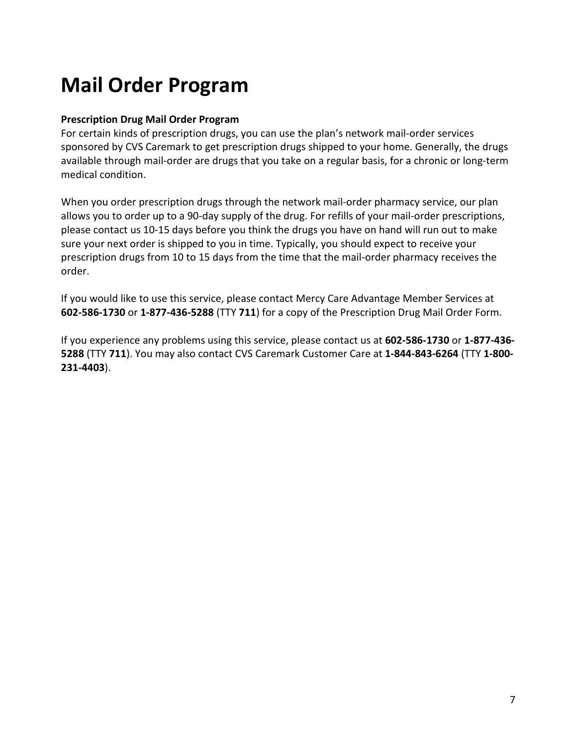# **Mail Order Program**

#### **Prescription Drug Mail Order Program**

 For certain kinds of prescription drugs, you can use the plan's network mail-order services sponsored by CVS Caremark to get prescription drugs shipped to your home. Generally, the drugs available through mail-order are drugs that you take on a regular basis, for a chronic or long-term medical condition.

medical condition.<br>When you order prescription drugs through the network mail-order pharmacy service, our plan allows you to order up to a 90-day supply of the drug. For refills of your mail-order prescriptions, please contact us 10-15 days before you think the drugs you have on hand will run out to make sure your next order is shipped to you in time. Typically, you should expect to receive your prescription drugs from 10 to 15 days from the time that the mail-order pharmacy receives the order.

 If you would like to use this service, please contact Mercy Care Advantage Member Services at **602-586-1730** or **1-877-436-5288** (TTY **711**) for a copy of the Prescription Drug Mail Order Form.

If you experience any problems using this service, please contact us at **602-586-1730** or **1-877-436 5288** (TTY **711**). You may also contact CVS Caremark Customer Care at **1-844-843-6264** (TTY **1-800 231-4403**).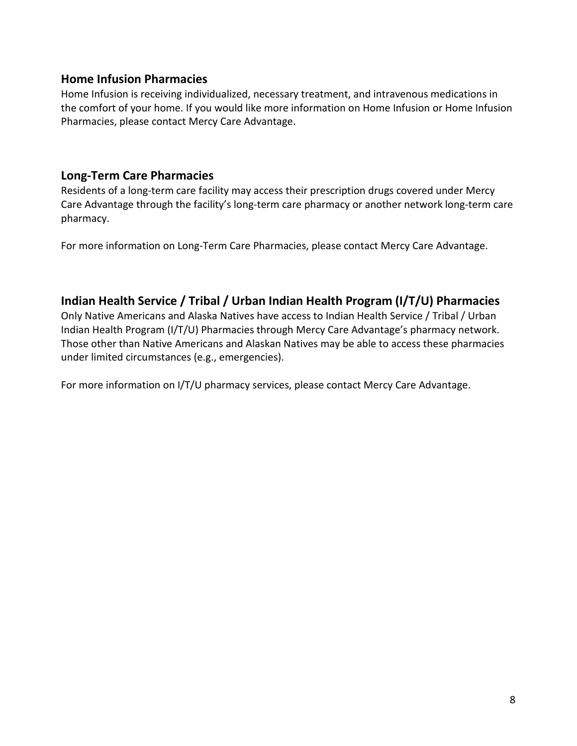### **Home Infusion Pharmacies**

Home Infusion is receiving individualized, necessary treatment, and intravenous medications in the comfort of your home. If you would like more information on Home Infusion or Home Infusion Pharmacies, please contact Mercy Care Advantage.

## **Long-Term Care Pharmacies**

Residents of a long-term care facility may access their prescription drugs covered under Mercy Care Advantage through the facility's long-term care pharmacy or another network long-term care pharmacy.

For more information on Long-Term Care Pharmacies, please contact Mercy Care Advantage.

## **Indian Health Service / Tribal / Urban Indian Health Program (I/T/U) Pharmacies**

 Those other than Native Americans and Alaskan Natives may be able to access these pharmacies Only Native Americans and Alaska Natives have access to Indian Health Service / Tribal / Urban Indian Health Program (I/T/U) Pharmacies through Mercy Care Advantage's pharmacy network. under limited circumstances (e.g., emergencies).

For more information on I/T/U pharmacy services, please contact Mercy Care Advantage.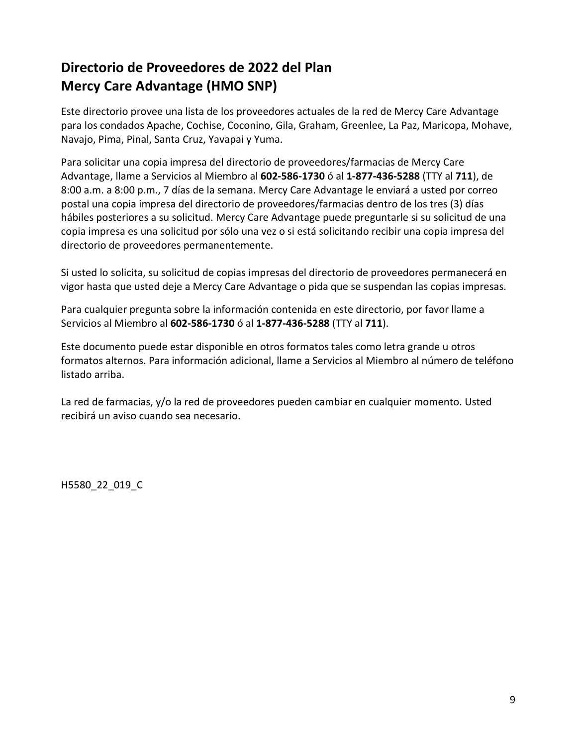# **Directorio de Proveedores de 2022 del Plan Mercy Care Advantage (HMO SNP)**

 Este directorio provee una lista de los proveedores actuales de la red de Mercy Care Advantage para los condados Apache, Cochise, Coconino, Gila, Graham, Greenlee, La Paz, Maricopa, Mohave, Navajo, Pima, Pinal, Santa Cruz, Yavapai y Yuma.

Para solicitar una copia impresa del directorio de proveedores/farmacias de Mercy Care Advantage, llame a Servicios al Miembro al **602-586-1730** ó al **1-877-436-5288** (TTY al **711**), de 8:00 a.m. a 8:00 p.m., 7 días de la semana. Mercy Care Advantage le enviará a usted por correo postal una copia impresa del directorio de proveedores/farmacias dentro de los tres (3) días hábiles posteriores a su solicitud. Mercy Care Advantage puede preguntarle si su solicitud de una copia impresa es una solicitud por sólo una vez o si está solicitando recibir una copia impresa del directorio de proveedores permanentemente.

Si usted lo solicita, su solicitud de copias impresas del directorio de proveedores permanecerá en vigor hasta que usted deje a Mercy Care Advantage o pida que se suspendan las copias impresas.

 Para cualquier pregunta sobre la información contenida en este directorio, por favor llame a Servicios al Miembro al **602-586-1730** ó al **1-877-436-5288** (TTY al **711**).

 Este documento puede estar disponible en otros formatos tales como letra grande u otros formatos alternos. Para información adicional, llame a Servicios al Miembro al número de teléfono listado arriba.

La red de farmacias, y/o la red de proveedores pueden cambiar en cualquier momento. Usted recibirá un aviso cuando sea necesario.

H5580\_22\_019\_C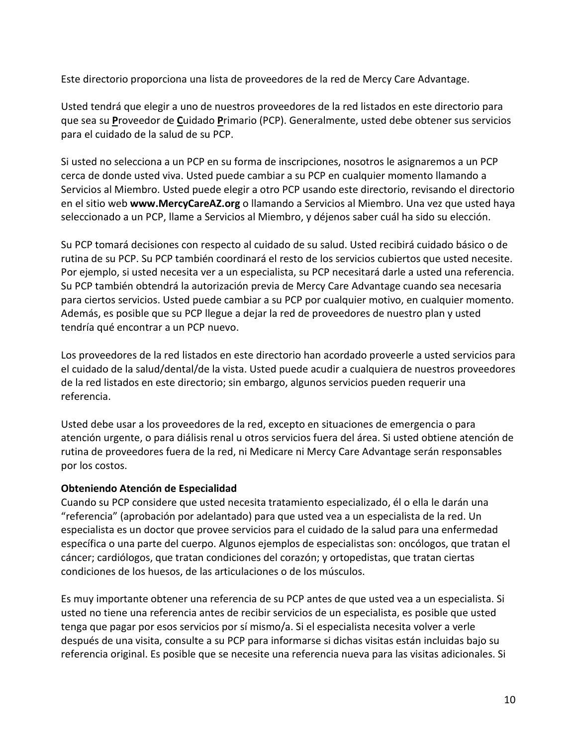Este directorio proporciona una lista de proveedores de la red de Mercy Care Advantage.

Usted tendrá que elegir a uno de nuestros proveedores de la red listados en este directorio para que sea su **P**roveedor de **C**uidado **P**rimario (PCP). Generalmente, usted debe obtener sus servicios para el cuidado de la salud de su PCP.

Si usted no selecciona a un PCP en su forma de inscripciones, nosotros le asignaremos a un PCP cerca de donde usted viva. Usted puede cambiar a su PCP en cualquier momento llamando a Servicios al Miembro. Usted puede elegir a otro PCP usando este directorio, revisando el directorio en el sitio web **www.MercyCareAZ.org** o llamando a Servicios al Miembro. Una vez que usted haya seleccionado a un PCP, llame a Servicios al Miembro, y déjenos saber cuál ha sido su elección.

 Además, es posible que su PCP llegue a dejar la red de proveedores de nuestro plan y usted tendría qué encontrar a un PCP nuevo. Su PCP tomará decisiones con respecto al cuidado de su salud. Usted recibirá cuidado básico o de rutina de su PCP. Su PCP también coordinará el resto de los servicios cubiertos que usted necesite. Por ejemplo, si usted necesita ver a un especialista, su PCP necesitará darle a usted una referencia. Su PCP también obtendrá la autorización previa de Mercy Care Advantage cuando sea necesaria para ciertos servicios. Usted puede cambiar a su PCP por cualquier motivo, en cualquier momento.

Los proveedores de la red listados en este directorio han acordado proveerle a usted servicios para el cuidado de la salud/dental/de la vista. Usted puede acudir a cualquiera de nuestros proveedores de la red listados en este directorio; sin embargo, algunos servicios pueden requerir una referencia.

 Usted debe usar a los proveedores de la red, excepto en situaciones de emergencia o para atención urgente, o para diálisis renal u otros servicios fuera del área. Si usted obtiene atención de rutina de proveedores fuera de la red, ni Medicare ni Mercy Care Advantage serán responsables por los costos.

#### **Obteniendo Atención de Especialidad**

 especialista es un doctor que provee servicios para el cuidado de la salud para una enfermedad específica o una parte del cuerpo. Algunos ejemplos de especialistas son: oncólogos, que tratan el Cuando su PCP considere que usted necesita tratamiento especializado, él o ella le darán una "referencia" (aprobación por adelantado) para que usted vea a un especialista de la red. Un cáncer; cardiólogos, que tratan condiciones del corazón; y ortopedistas, que tratan ciertas condiciones de los huesos, de las articulaciones o de los músculos.

 Es muy importante obtener una referencia de su PCP antes de que usted vea a un especialista. Si usted no tiene una referencia antes de recibir servicios de un especialista, es posible que usted referencia original. Es posible que se necesite una referencia nueva para las visitas adicionales. Si tenga que pagar por esos servicios por sí mismo/a. Si el especialista necesita volver a verle después de una visita, consulte a su PCP para informarse si dichas visitas están incluidas bajo su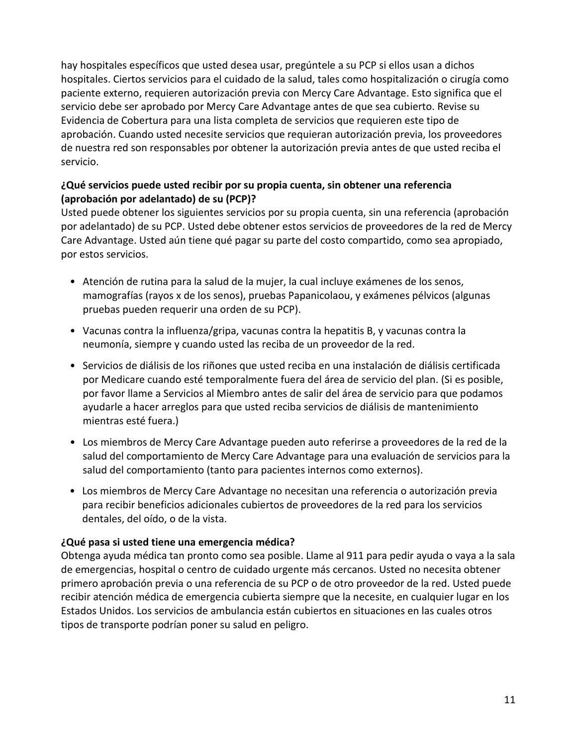hay hospitales específicos que usted desea usar, pregúntele a su PCP si ellos usan a dichos hospitales. Ciertos servicios para el cuidado de la salud, tales como hospitalización o cirugía como paciente externo, requieren autorización previa con Mercy Care Advantage. Esto significa que el servicio debe ser aprobado por Mercy Care Advantage antes de que sea cubierto. Revise su de nuestra red son responsables por obtener la autorización previa antes de que usted reciba el Evidencia de Cobertura para una lista completa de servicios que requieren este tipo de aprobación. Cuando usted necesite servicios que requieran autorización previa, los proveedores servicio.

#### **¿Qué servicios puede usted recibir por su propia cuenta, sin obtener una referencia (aprobación por adelantado) de su (PCP)?**

 por adelantado) de su PCP. Usted debe obtener estos servicios de proveedores de la red de Mercy Usted puede obtener los siguientes servicios por su propia cuenta, sin una referencia (aprobación Care Advantage. Usted aún tiene qué pagar su parte del costo compartido, como sea apropiado, por estos servicios.

- mamografías (rayos x de los senos), pruebas Papanicolaou, y exámenes pélvicos (algunas • Atención de rutina para la salud de la mujer, la cual incluye exámenes de los senos, pruebas pueden requerir una orden de su PCP).
- neumonía, siempre y cuando usted las reciba de un proveedor de la red. • Vacunas contra la influenza/gripa, vacunas contra la hepatitis B, y vacunas contra la
- por Medicare cuando esté temporalmente fuera del área de servicio del plan. (Si es posible, por favor llame a Servicios al Miembro antes de salir del área de servicio para que podamos mientras esté fuera.) • Servicios de diálisis de los riñones que usted reciba en una instalación de diálisis certificada ayudarle a hacer arreglos para que usted reciba servicios de diálisis de mantenimiento
- • Los miembros de Mercy Care Advantage pueden auto referirse a proveedores de la red de la salud del comportamiento de Mercy Care Advantage para una evaluación de servicios para la salud del comportamiento (tanto para pacientes internos como externos).
- • Los miembros de Mercy Care Advantage no necesitan una referencia o autorización previa para recibir beneficios adicionales cubiertos de proveedores de la red para los servicios dentales, del oído, o de la vista.

#### **¿Qué pasa si usted tiene una emergencia médica?**

 primero aprobación previa o una referencia de su PCP o de otro proveedor de la red. Usted puede Obtenga ayuda médica tan pronto como sea posible. Llame al 911 para pedir ayuda o vaya a la sala de emergencias, hospital o centro de cuidado urgente más cercanos. Usted no necesita obtener recibir atención médica de emergencia cubierta siempre que la necesite, en cualquier lugar en los Estados Unidos. Los servicios de ambulancia están cubiertos en situaciones en las cuales otros tipos de transporte podrían poner su salud en peligro.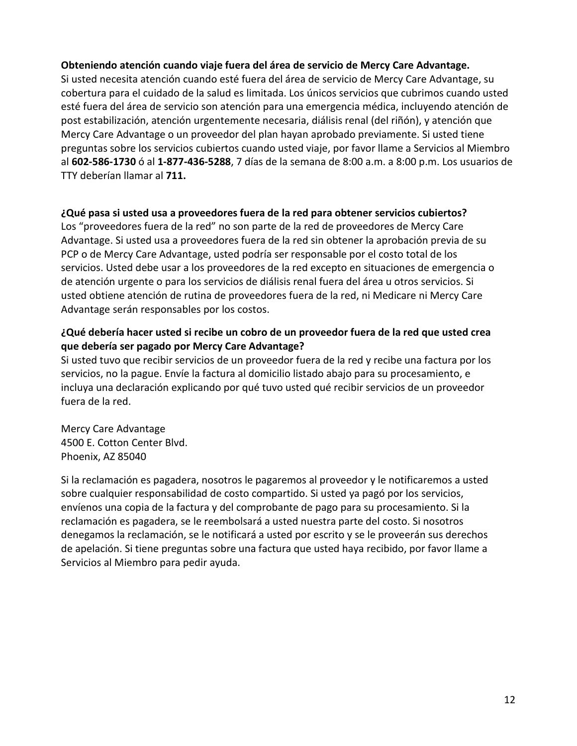#### **Obteniendo atención cuando viaje fuera del área de servicio de Mercy Care Advantage.**

 cobertura para el cuidado de la salud es limitada. Los únicos servicios que cubrimos cuando usted esté fuera del área de servicio son atención para una emergencia médica, incluyendo atención de Mercy Care Advantage o un proveedor del plan hayan aprobado previamente. Si usted tiene preguntas sobre los servicios cubiertos cuando usted viaje, por favor llame a Servicios al Miembro al **602-586-1730** ó al **1-877-436-5288**, 7 días de la semana de 8:00 a.m. a 8:00 p.m. Los usuarios de Si usted necesita atención cuando esté fuera del área de servicio de Mercy Care Advantage, su post estabilización, atención urgentemente necesaria, diálisis renal (del riñón), y atención que TTY deberían llamar al **711.** 

#### **¿Qué pasa si usted usa a proveedores fuera de la red para obtener servicios cubiertos?**

 Los "proveedores fuera de la red" no son parte de la red de proveedores de Mercy Care Advantage. Si usted usa a proveedores fuera de la red sin obtener la aprobación previa de su PCP o de Mercy Care Advantage, usted podría ser responsable por el costo total de los de atención urgente o para los servicios de diálisis renal fuera del área u otros servicios. Si usted obtiene atención de rutina de proveedores fuera de la red, ni Medicare ni Mercy Care servicios. Usted debe usar a los proveedores de la red excepto en situaciones de emergencia o Advantage serán responsables por los costos.

#### **¿Qué debería hacer usted si recibe un cobro de un proveedor fuera de la red que usted crea que debería ser pagado por Mercy Care Advantage?**

 Si usted tuvo que recibir servicios de un proveedor fuera de la red y recibe una factura por los servicios, no la pague. Envíe la factura al domicilio listado abajo para su procesamiento, e incluya una declaración explicando por qué tuvo usted qué recibir servicios de un proveedor fuera de la red.

Mercy Care Advantage 4500 E. Cotton Center Blvd. Phoenix, AZ 85040

 Si la reclamación es pagadera, nosotros le pagaremos al proveedor y le notificaremos a usted envíenos una copia de la factura y del comprobante de pago para su procesamiento. Si la denegamos la reclamación, se le notificará a usted por escrito y se le proveerán sus derechos sobre cualquier responsabilidad de costo compartido. Si usted ya pagó por los servicios, reclamación es pagadera, se le reembolsará a usted nuestra parte del costo. Si nosotros de apelación. Si tiene preguntas sobre una factura que usted haya recibido, por favor llame a Servicios al Miembro para pedir ayuda.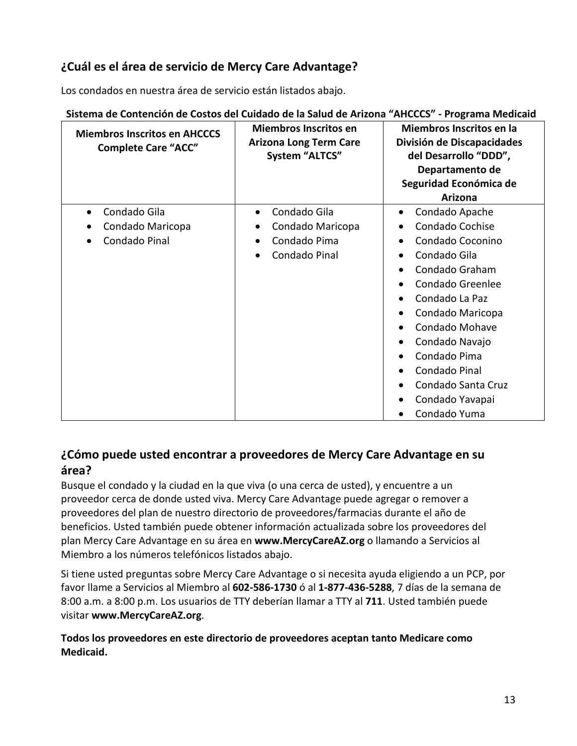# **¿Cuál es el área de servicio de Mercy Care Advantage?**

Los condados en nuestra área de servicio están listados abajo.

| <b>Miembros Inscritos en AHCCCS</b><br><b>Complete Care "ACC"</b> | <b>Miembros Inscritos en</b><br><b>Arizona Long Term Care</b><br><b>System "ALTCS"</b>      | Miembros Inscritos en la<br>División de Discapacidades<br>del Desarrollo "DDD",<br>Departamento de<br>Seguridad Económica de<br>Arizona                                                                                                                                                      |
|-------------------------------------------------------------------|---------------------------------------------------------------------------------------------|----------------------------------------------------------------------------------------------------------------------------------------------------------------------------------------------------------------------------------------------------------------------------------------------|
| Condado Gila<br>$\bullet$<br>Condado Maricopa<br>Condado Pinal    | Condado Gila<br>$\bullet$<br>Condado Maricopa<br>Condado Pima<br>$\bullet$<br>Condado Pinal | Condado Apache<br>$\bullet$<br>Condado Cochise<br>Condado Coconino<br>Condado Gila<br>Condado Graham<br>Condado Greenlee<br>Condado La Paz<br>Condado Maricopa<br>Condado Mohave<br>Condado Navajo<br>Condado Pima<br>Condado Pinal<br>Condado Santa Cruz<br>Condado Yavapai<br>Condado Yuma |

#### **Sistema de Contención de Costos del Cuidado de la Salud de Arizona "AHCCCS" - Programa Medicaid**

# **¿Cómo puede usted encontrar a proveedores de Mercy Care Advantage en su área?**

Busque el condado y la ciudad en la que viva (o una cerca de usted), y encuentre a un proveedor cerca de donde usted viva. Mercy Care Advantage puede agregar o remover a proveedores del plan de nuestro directorio de proveedores/farmacias durante el año de beneficios. Usted también puede obtener información actualizada sobre los proveedores del plan Mercy Care Advantage en su área en **www.MercyCareAZ.org** o llamando a Servicios al Miembro a los números telefónicos listados abajo.

Si tiene usted preguntas sobre Mercy Care Advantage o si necesita ayuda eligiendo a un PCP, por favor llame a Servicios al Miembro al **602-586-1730** ó al **1-877-436-5288**, 7 días de la semana de 8:00 a.m. a 8:00 p.m. Los usuarios de TTY deberían llamar a TTY al **711**. Usted también puede visitar **www.MercyCareAZ.org**.

**Todos los proveedores en este directorio de proveedores aceptan tanto Medicare como Medicaid.**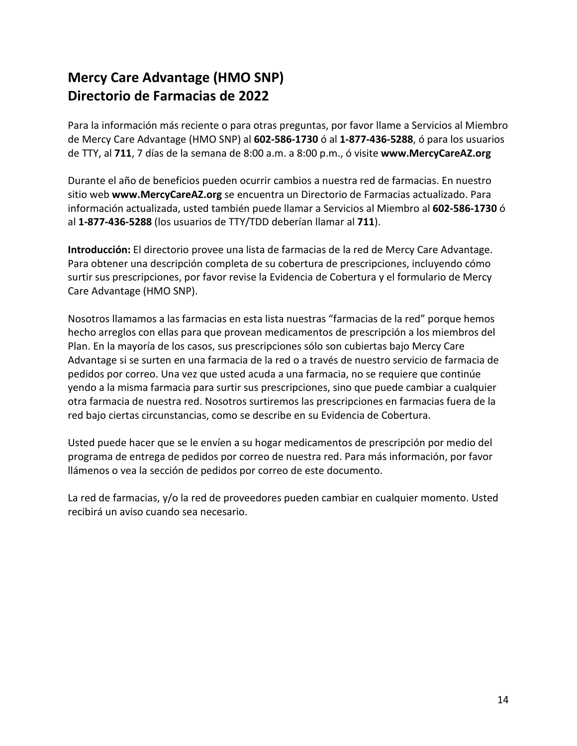# **Directorio de Farmacias de 2022 Mercy Care Advantage (HMO SNP)**

Para la información más reciente o para otras preguntas, por favor llame a Servicios al Miembro de Mercy Care Advantage (HMO SNP) al **602-586-1730** ó al **1-877-436-5288**, ó para los usuarios de TTY, al **711**, 7 días de la semana de 8:00 a.m. a 8:00 p.m., ó visite **www.MercyCareAZ.org** 

Durante el año de beneficios pueden ocurrir cambios a nuestra red de farmacias. En nuestro sitio web **www.MercyCareAZ.org** se encuentra un Directorio de Farmacias actualizado. Para información actualizada, usted también puede llamar a Servicios al Miembro al **602-586-1730** ó al **1-877-436-5288** (los usuarios de TTY/TDD deberían llamar al **711**).

 **Introducción:** El directorio provee una lista de farmacias de la red de Mercy Care Advantage. Para obtener una descripción completa de su cobertura de prescripciones, incluyendo cómo surtir sus prescripciones, por favor revise la Evidencia de Cobertura y el formulario de Mercy Care Advantage (HMO SNP).

 hecho arreglos con ellas para que provean medicamentos de prescripción a los miembros del Advantage si se surten en una farmacia de la red o a través de nuestro servicio de farmacia de Nosotros llamamos a las farmacias en esta lista nuestras "farmacias de la red" porque hemos Plan. En la mayoría de los casos, sus prescripciones sólo son cubiertas bajo Mercy Care pedidos por correo. Una vez que usted acuda a una farmacia, no se requiere que continúe yendo a la misma farmacia para surtir sus prescripciones, sino que puede cambiar a cualquier otra farmacia de nuestra red. Nosotros surtiremos las prescripciones en farmacias fuera de la red bajo ciertas circunstancias, como se describe en su Evidencia de Cobertura.

 Usted puede hacer que se le envíen a su hogar medicamentos de prescripción por medio del programa de entrega de pedidos por correo de nuestra red. Para más información, por favor llámenos o vea la sección de pedidos por correo de este documento.

La red de farmacias, y/o la red de proveedores pueden cambiar en cualquier momento. Usted recibirá un aviso cuando sea necesario.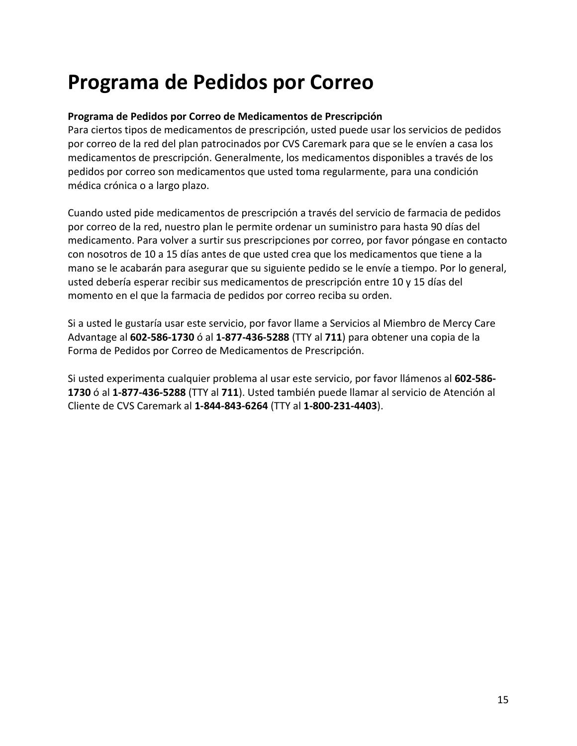# **Programa de Pedidos por Correo**

#### **Programa de Pedidos por Correo de Medicamentos de Prescripción**

 Para ciertos tipos de medicamentos de prescripción, usted puede usar los servicios de pedidos por correo de la red del plan patrocinados por CVS Caremark para que se le envíen a casa los medicamentos de prescripción. Generalmente, los medicamentos disponibles a través de los pedidos por correo son medicamentos que usted toma regularmente, para una condición médica crónica o a largo plazo.

 por correo de la red, nuestro plan le permite ordenar un suministro para hasta 90 días del con nosotros de 10 a 15 días antes de que usted crea que los medicamentos que tiene a la usted debería esperar recibir sus medicamentos de prescripción entre 10 y 15 días del Cuando usted pide medicamentos de prescripción a través del servicio de farmacia de pedidos medicamento. Para volver a surtir sus prescripciones por correo, por favor póngase en contacto mano se le acabarán para asegurar que su siguiente pedido se le envíe a tiempo. Por lo general, momento en el que la farmacia de pedidos por correo reciba su orden.

 Si a usted le gustaría usar este servicio, por favor llame a Servicios al Miembro de Mercy Care Advantage al **602-586-1730** ó al **1-877-436-5288** (TTY al **711**) para obtener una copia de la Forma de Pedidos por Correo de Medicamentos de Prescripción.

Forma de Pedidos por Correo de Medicamentos de Prescripción. Si usted experimenta cualquier problema al usar este servicio, por favor llámenos al **602-586 1730** ó al **1-877-436-5288** (TTY al **711**). Usted también puede llamar al servicio de Atención al Cliente de CVS Caremark al **1-844-843-6264** (TTY al **1-800-231-4403**).